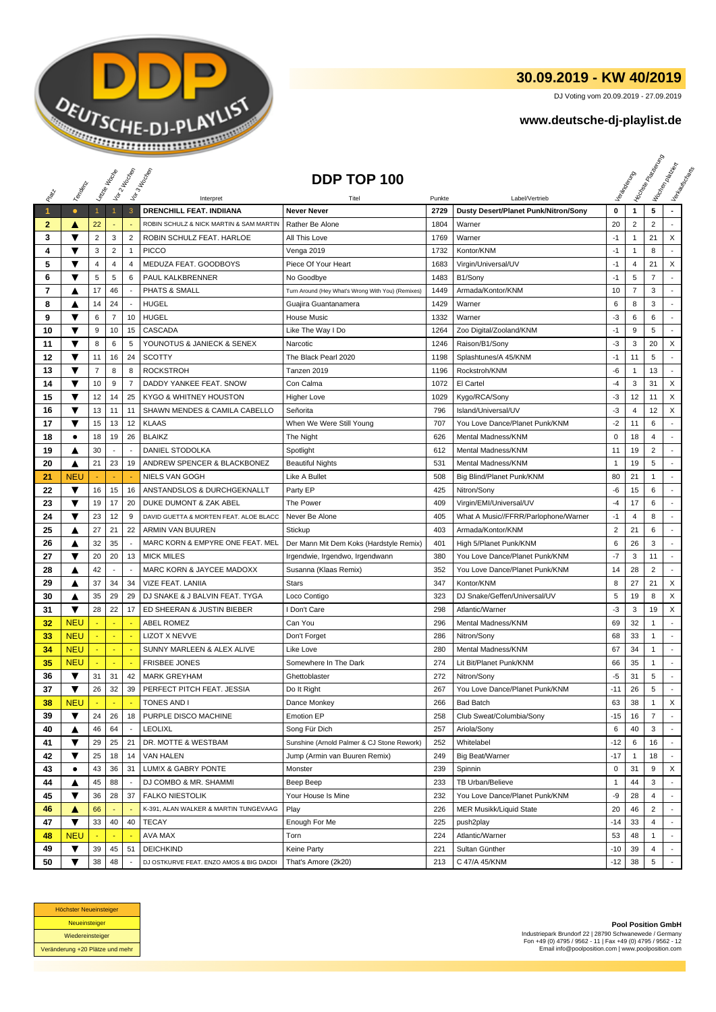

## **30.09.2019 - KW 40/2019**

DJ Voting vom 20.09.2019 - 27.09.2019

## **www.deutsche-dj-playlist.de**

|                      |                 |                | Leizie Hacope  | Vor 2 Noon                     | Vor 3 Incolas                                  | DDP TOP 100                                       |                |                                                        |                    | Veriandent     | <b>H</b> oin <sub>de Pape</sub><br>Papea <sub>Papea</sub><br>I Voolennesser | Vertaurenden             |
|----------------------|-----------------|----------------|----------------|--------------------------------|------------------------------------------------|---------------------------------------------------|----------------|--------------------------------------------------------|--------------------|----------------|-----------------------------------------------------------------------------|--------------------------|
| PREV                 | Temporal        |                |                |                                |                                                |                                                   |                |                                                        |                    |                |                                                                             |                          |
| $\blacktriangleleft$ | $\bullet$       | $\mathbf{1}$   |                | 3                              | Interpret<br>DRENCHILL FEAT. INDIIANA          | Titel<br><b>Never Never</b>                       | Punkte<br>2729 | Label/Vertrieb<br>Dusty Desert/Planet Punk/Nitron/Sony | 0                  | $\mathbf{1}$   | 5                                                                           | $\blacksquare$           |
| $\mathbf{2}$         |                 | 22             |                |                                | ROBIN SCHULZ & NICK MARTIN & SAM MARTIN        | Rather Be Alone                                   | 1804           | Warner                                                 | 20                 | $\overline{2}$ | $\overline{2}$                                                              | ٠                        |
| 3                    | A<br>▼          | $\overline{2}$ | 3              | $\overline{2}$                 | ROBIN SCHULZ FEAT. HARLOE                      | All This Love                                     | 1769           | Warner                                                 | $-1$               | 1              | 21                                                                          | X                        |
| 4                    | ▼               | 3              | $\overline{2}$ | $\overline{1}$                 | <b>PICCO</b>                                   | Venga 2019                                        | 1732           | Kontor/KNM                                             | $-1$               | $\mathbf{1}$   | 8                                                                           |                          |
| 5                    | ▼               | $\overline{4}$ | $\overline{4}$ | 4                              | MEDUZA FEAT. GOODBOYS                          | Piece Of Your Heart                               | 1683           | Virgin/Universal/UV                                    | $-1$               | $\overline{4}$ | 21                                                                          | X                        |
| 6                    | ▼               | $\sqrt{5}$     | 5              | 6                              | PAUL KALKBRENNER                               | No Goodbye                                        | 1483           | B1/Sony                                                | $-1$               | 5              | $\overline{7}$                                                              |                          |
| 7                    | ▲               | 17             | 46             |                                | PHATS & SMALL                                  | Turn Around (Hey What's Wrong With You) (Remixes) | 1449           | Armada/Kontor/KNM                                      | 10                 | $\overline{7}$ | 3                                                                           |                          |
| 8                    | ▲               | 14             | 24             |                                | <b>HUGEL</b>                                   | Guajira Guantanamera                              | 1429           | Warner                                                 | 6                  | 8              | 3                                                                           | $\blacksquare$           |
| 9                    | ▼               | 6              | $\overline{7}$ | 10                             | <b>HUGEL</b>                                   | <b>House Music</b>                                | 1332           | Warner                                                 | $-3$               | 6              | 6                                                                           |                          |
| 10                   | ▼               | 9              | 10             | 15                             | CASCADA                                        | Like The Way I Do                                 | 1264           | Zoo Digital/Zooland/KNM                                | $-1$               | 9              | 5                                                                           |                          |
| 11                   | ▼               | 8              | 6              | 5                              | YOUNOTUS & JANIECK & SENEX                     | Narcotic                                          | 1246           | Raison/B1/Sony                                         | $-3$               | 3              | 20                                                                          | X                        |
| 12                   | ▼               | 11             | 16             | 24                             | <b>SCOTTY</b>                                  | The Black Pearl 2020                              | 1198           | Splashtunes/A 45/KNM                                   | $-1$               | 11             | 5                                                                           |                          |
| 13                   | ▼               | $\overline{7}$ | 8              | 8                              | <b>ROCKSTROH</b>                               | Tanzen 2019                                       | 1196           | Rockstroh/KNM                                          | -6                 |                | 13                                                                          |                          |
|                      | ▼               | 10             | 9              | $\overline{7}$                 | DADDY YANKEE FEAT. SNOW                        | Con Calma                                         | 1072           | El Cartel                                              | $-4$               | 3              | 31                                                                          | X                        |
| 14<br>15             | ▼               | 12             | 14             | 25                             | KYGO & WHITNEY HOUSTON                         | <b>Higher Love</b>                                | 1029           | Kygo/RCA/Sony                                          | -3                 | 12             | 11                                                                          | X                        |
|                      | ▼               |                |                |                                |                                                |                                                   |                |                                                        |                    |                |                                                                             |                          |
| 16                   |                 | 13             | 11             | 11                             | SHAWN MENDES & CAMILA CABELLO<br><b>KLAAS</b>  | Señorita                                          | 796            | Island/Universal/UV                                    | $-3$               | 4              | 12                                                                          | X                        |
| 17                   | ▼               | 15             | 13             | 12                             |                                                | When We Were Still Young                          | 707            | You Love Dance/Planet Punk/KNM                         | $-2$               | 11             | 6                                                                           |                          |
| 18                   | $\bullet$       | 18             | 19             | 26                             | <b>BLAIKZ</b>                                  | The Night                                         | 626            | Mental Madness/KNM                                     | 0                  | 18             | 4                                                                           |                          |
| 19                   | ▲               | 30<br>21       | 23             | $\overline{\phantom{a}}$<br>19 | DANIEL STODOLKA<br>ANDREW SPENCER & BLACKBONEZ | Spotlight<br><b>Beautiful Nights</b>              | 612<br>531     | Mental Madness/KNM<br>Mental Madness/KNM               | 11<br>$\mathbf{1}$ | 19<br>19       | $\overline{2}$<br>5                                                         | ÷.                       |
| 20                   | ▲               |                |                |                                |                                                |                                                   |                | Big Blind/Planet Punk/KNM                              |                    |                |                                                                             |                          |
| 21                   | <b>NEU</b><br>▼ |                |                |                                | NIELS VAN GOGH<br>ANSTANDSLOS & DURCHGEKNALLT  | Like A Bullet                                     | 508<br>425     |                                                        | 80<br>-6           | 21             | 1                                                                           |                          |
| 22                   |                 | 16             | 15             | 16                             |                                                | Party EP                                          |                | Nitron/Sony                                            |                    | 15             | 6                                                                           |                          |
| 23                   | ▼               | 19             | 17             | 20                             | DUKE DUMONT & ZAK ABEL                         | The Power                                         | 409            | Virgin/EMI/Universal/UV                                | $-4$               | 17             | 6                                                                           |                          |
| 24                   | ▼               | 23             | 12             | 9                              | DAVID GUETTA & MORTEN FEAT. ALOE BLACC         | Never Be Alone                                    | 405            | What A Music//FFRR/Parlophone/Warner                   | $-1$               | $\overline{4}$ | 8                                                                           | ٠                        |
| 25                   | ▲               | 27             | 21             | 22                             | ARMIN VAN BUUREN                               | Stickup                                           | 403            | Armada/Kontor/KNM                                      | $\overline{2}$     | 21             | 6                                                                           |                          |
| 26                   | ▲               | 32             | 35             | $\overline{\phantom{a}}$       | MARC KORN & EMPYRE ONE FEAT. MEL               | Der Mann Mit Dem Koks (Hardstyle Remix)           | 401            | High 5/Planet Punk/KNM                                 | 6                  | 26             | 3                                                                           |                          |
| 27                   | ▼               | 20             | 20             | 13                             | <b>MICK MILES</b>                              | Irgendwie, Irgendwo, Irgendwann                   | 380            | You Love Dance/Planet Punk/KNM                         | $-7$               | 3              | 11                                                                          | $\blacksquare$           |
| 28                   | ▲               | 42             |                |                                | MARC KORN & JAYCEE MADOXX                      | Susanna (Klaas Remix)                             | 352            | You Love Dance/Planet Punk/KNM                         | 14                 | 28             | $\overline{2}$                                                              | $\blacksquare$           |
| 29                   | ▲               | 37             | 34             | 34                             | VIZE FEAT. LANIIA                              | <b>Stars</b>                                      | 347            | Kontor/KNM                                             | 8                  | 27             | 21                                                                          | X                        |
| 30                   | ▲               | 35             | 29             | 29                             | DJ SNAKE & J BALVIN FEAT. TYGA                 | Loco Contigo                                      | 323            | DJ Snake/Geffen/Universal/UV                           | 5                  | 19             | 8                                                                           | X                        |
| 31                   | ▼               | 28             | 22             | 17                             | ED SHEERAN & JUSTIN BIEBER                     | I Don't Care                                      | 298            | Atlantic/Warner                                        | -3                 | 3              | 19                                                                          | X                        |
| 32                   | <b>NEU</b>      |                |                |                                | <b>ABEL ROMEZ</b>                              | Can You                                           | 296            | Mental Madness/KNM                                     | 69                 | 32             | -1                                                                          |                          |
| 33                   | <b>NEU</b>      |                |                |                                | <b>LIZOT X NEVVE</b>                           | Don't Forget                                      | 286            | Nitron/Sony                                            | 68                 | 33             | $\mathbf{1}$                                                                | $\blacksquare$           |
| 34                   | <b>NEU</b>      |                | ÷.             | ÷.                             | SUNNY MARLEEN & ALEX ALIVE                     | Like Love                                         | 280            | Mental Madness/KNM                                     | 67                 | 34             | $\mathbf{1}$                                                                | $\blacksquare$           |
| 35                   | <b>NEU</b>      |                |                |                                | <b>FRISBEE JONES</b>                           | Somewhere In The Dark                             | 274            | Lit Bit/Planet Punk/KNM                                | 66                 | 35             | 1                                                                           |                          |
| 36                   | ▼               | 31             | 31             | 42                             | <b>MARK GREYHAM</b>                            | Ghettoblaster                                     | 272            | Nitron/Sony                                            | $-5$               | 31             | 5                                                                           |                          |
| 37                   | ▼               | 26             | 32             | 39                             | PERFECT PITCH FEAT. JESSIA                     | Do It Right                                       | 267            | You Love Dance/Planet Punk/KNM                         | $-11$              | 26             | 5                                                                           | $\overline{\phantom{a}}$ |
| 38                   | <b>NEU</b>      |                |                |                                | TONES AND I                                    | Dance Monkey                                      | 266            | <b>Bad Batch</b>                                       | 63                 | 38             | 1                                                                           | X                        |
| 39                   | ▼               | 24             | 26             | 18                             | PURPLE DISCO MACHINE                           | Emotion EP                                        | 258            | Club Sweat/Columbia/Sony                               | $-15$              | 16             | $\overline{7}$                                                              |                          |
| 40                   | ▲               | 46             | 64             | $\overline{\phantom{a}}$       | <b>LEOLIXL</b>                                 | Song Für Dich                                     | 257            | Ariola/Sony                                            | 6                  | 40             | 3                                                                           |                          |
| 41                   | ▼               | 29             | 25             | 21                             | DR. MOTTE & WESTBAM                            | Sunshine (Arnold Palmer & CJ Stone Rework)        | 252            | Whitelabel                                             | $-12$              | 6              | 16                                                                          |                          |
| 42                   | ▼               | 25             | 18             | 14                             | VAN HALEN                                      | Jump (Armin van Buuren Remix)                     | 249            | Big Beat/Warner                                        | $-17$              | $\mathbf{1}$   | 18                                                                          |                          |
| 43                   | ٠               | 43             | 36             | 31                             | LUM!X & GABRY PONTE                            | Monster                                           | 239            | Spinnin                                                | $\mathbf 0$        | 31             | 9                                                                           | X                        |
| 44                   | A               | 45             | 88             | $\sim$                         | DJ COMBO & MR. SHAMMI                          | Beep Beep                                         | 233            | TB Urban/Believe                                       | 1                  | 44             | 3                                                                           |                          |
| 45                   | ▼               | 36             | 28             | 37                             | <b>FALKO NIESTOLIK</b>                         | Your House Is Mine                                | 232            | You Love Dance/Planet Punk/KNM                         | -9                 | 28             | 4                                                                           |                          |
| 46                   | ▲               | 66             |                |                                | K-391, ALAN WALKER & MARTIN TUNGEVAAG          | Play                                              | 226            | <b>MER Musikk/Liquid State</b>                         | 20                 | 46             | $\overline{2}$                                                              | $\blacksquare$           |
| 47                   | ▼               | 33             | 40             | 40                             | <b>TECAY</b>                                   | Enough For Me                                     | 225            | push2play                                              | $-14$              | 33             | 4                                                                           |                          |
| 48                   | <b>NEU</b>      |                |                |                                | AVA MAX                                        | Torn                                              | 224            | Atlantic/Warner                                        | 53                 | 48             | 1                                                                           |                          |
| 49                   | ▼               | 39             | 45             | 51                             | <b>DEICHKIND</b>                               | Keine Party                                       | 221            | Sultan Günther                                         | -10                | 39             | 4                                                                           |                          |
| 50                   | ▼               | 38             | 48             |                                | DJ OSTKURVE FEAT. ENZO AMOS & BIG DADDI        | That's Amore (2k20)                               | 213            | C 47/A 45/KNM                                          | $-12$              | 38             | $\,$ 5 $\,$                                                                 |                          |



**Pool Position GmbH** Industriepark Brundorf 22 | 28790 Schwanewede / Germany Fon +49 (0) 4795 / 9562 - 11 | Fax +49 (0) 4795 / 9562 - 12 Email info@poolposition.com | www.poolposition.com